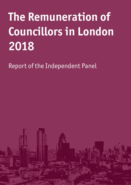# **The Remuneration of Councillors in London 2018**

Report of the Independent Panel

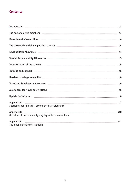# **Contents**

| Introduction <u>successive p3</u>                                                                                                                                                                                                    |                |
|--------------------------------------------------------------------------------------------------------------------------------------------------------------------------------------------------------------------------------------|----------------|
| The role of elected members <b>communicated</b> in the set of the set of the set of the set of the set of the set of the set of the set of the set of the set of the set of the set of the set of the set of the set of the set of   | p3             |
| Recruitment of councillors and the council of the parameter of the parameter of the parameter of the parameter                                                                                                                       |                |
| The current financial and political climate <b>Election Contract Contract Contract Contract</b> p4                                                                                                                                   |                |
| Level of Basic Allowance <b>Exercise Section</b> p4                                                                                                                                                                                  |                |
| Special Responsibility Allowances <b>Example 2018</b> 2019 2019 21:00 21:00 21:00 21:00 21:00 21:00 21:00 21:00 21:00 21:00 21:00 21:00 21:00 21:00 21:00 21:00 21:00 21:00 21:00 21:00 21:00 21:00 21:00 21:00 21:00 21:00 21:00 2  |                |
| Interpretation of the scheme <u>contained and the scheme of the scheme of the scheme of</u>                                                                                                                                          |                |
| Training and support <b>with the contract of the contract of the contract of the contract of the contract of the contract of the contract of the contract of the contract of the contract of the contract of the contract of the</b> | p <sub>6</sub> |
| Barriers to being a councillor <b>contracts</b> being a councillor and the set of the set of the set of the set of the                                                                                                               |                |
| Travel and Subsistence Allowances <b>Ally and Allowances</b> and Allow and Allow and Allow and Allow and Allow and Allow                                                                                                             | p <sub>6</sub> |
| Allowances for Mayor or Civic Head <b>Mayor and Allowances</b> for Mayor or Civic Head                                                                                                                                               | p <sub>6</sub> |
| Update for Inflation <b>Production Constant Construction Constant Construction Constant Construction</b>                                                                                                                             | p <sub>6</sub> |
| <b>Appendix A</b><br>Special responsibilities - beyond the basic allowance                                                                                                                                                           | p7             |
| <b>Appendix B</b><br>On behalf of the community $-$ a job profile for councillors                                                                                                                                                    | p10            |
| <b>Appendix C</b>                                                                                                                                                                                                                    | p11            |
| The independent panel members                                                                                                                                                                                                        |                |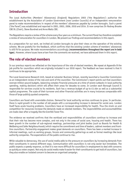# **Introduction**

The Local Authorities (Members' Allowances) (England) Regulations 2003 ('the Regulations') authorise the establishment by the Association of London Government (now London Councils) of an independent remuneration panel to make recommendations in respect of the members' allowances payable by London boroughs. Such a panel ('the Panel') was established and reported in 2001, 2003, 2006, 2010 and 2014. It now comprises Sir Rodney Brooke CBE DL (Chair), Steve Bundred and Anne Watts CBE.

The Regulations require a review of the scheme every four years as a minimum. The current Panel has therefore completed a review of remuneration for councillors in London. We present our findings and recommendations in this report.

As a preparation for our work, we invited all London boroughs to give their views on the operation of the existing scheme. We are grateful for the feedback, which confirms that the existing London scheme of members' allowances is still fit for purpose. We make recommendations accordingly (**recommendations throughout the report are in bold type**). However, where issues have arisen from the comments we received, we have addressed them in this report.

## **The role of elected members**

In our previous reports we reflected on the importance of the role of elected members. We repeat at Appendix B the job profile for councillors which we originally included in our 2010 report. The feedback we have received is that it continues to be appropriate.

The Local Governance Research Unit, based at Leicester Business School, recently launched a Councillor Commission as an independent review of the role and work of the councillor. The Commission's report points out that councillors oversee million-pound budgets, balancing complex financial pressures at a time of severe cutbacks in local authority spending, making decisions which will affect their areas for decades to come. In London each Borough Council is responsible for services crucial to its residents. Each has a revenue budget of up to £1.4bn as well as a substantial capital programme. The scale of their turnover and other financial activities are in many instances comparable with those of large publicly quoted companies.

Councillors are faced with unenviable choices. Demand for local authority services continues to grow. In particular, there is rapid growth in the number of old people with a corresponding increase in demand for social care. London itself faces acute housing problems. Councillors have an increased responsibility for health. Thus the strain on and competition for resources increase the demands made on elected members. The responsibilities and accountabilities are made clear after a tragedy like the Grenfell Tower fire.

The evidence we received confirms that the workload and responsibilities of councillors continue to increase and that their role has become more complex, and not only in the areas of social care, housing and health. There has been growth in the number of sub-regional meetings, partnerships and joint bodies (such as Boards for Health & Wellbeing and Safer Neighbourhoods) which require the commitment and time of leaders, cabinet members and frontline councillors. Partnership engagement makes great demands on councillors. There has been a marked increase in informal meetings, such as working groups, forums and community gatherings as well as formal meetings like local authority companies. The expectations of the public continue to rise.

While valuable to democracy, the use of social media adds to the pressure on councillors by increasing demands from their constituents in several different ways. Communication with councillors is not only easier but immediate. The public expects a speedy response, so that it is now more difficult for councillors in employment to deal with concerns as quickly as voters expect. Not only do social media make it easier for their constituents to get hold of councillors, but they also enable an isolated concern to become an organised campaign.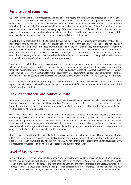# **Recruitment of councillors**

We received evidence that it is increasingly difficult to recruit people of quality who are prepared to stand for office as councillors. Though the low level of allowances was mentioned as a reason for this, a major disincentive is the time commitment required of a councillor. That time commitment (as well as finance) can make it difficult to combine the role with a job and a family life. As one councillor commented to the Leicester Business School Commission, 'Serving on outside bodies means that I am working every day of the week, weekends too'. As was pointed out in responses we received, the problem is exacerbated in London, where councillors are on the whole younger than in other parts of the country and often in employment. They also face substantially higher costs of living.

Though the time commitment may be the main disincentive to service as a councillor, it is important that, as far as reasonably possible, financial loss does not prevent people from becoming councillors. Allowances are not shown by polls to be something which influences councillors to take on the role, though they are instrumental in making it possible for some people to do so. Allowances should be set at a level that enables people to undertake the role of councillor, while not acting as an incentive to do so. If it is important that there are no financial incentives to being a councillor, it is equally important that there should not be a financial disincentive. It is clearly desirable that service as a councillor is not confined to those with independent means.

Since our last report the Government has removed the possibility of councillors joining the local government pension scheme. We believe that access to the pension scheme can be an important factor in making service as a councillor financially possible for a wider range of people. It is particularly significant for those who, like elected mayors, leaders and portfolio holders, give most or all of their time to service in local government and lose the opportunity to contribute to a pension scheme elsewhere. Loss of access to a pension scheme imposes a further financial penalty on councillors.

We do not repeat the arguments for appropriate remuneration for councillors which we have set out in our previous reports. We believe them to be self-evident. But we do repeat our belief in the importance of local democracy and the role of councillors within it.

## **The current financial and political climate**

Because of the current financial climate, the local government pay settlement in recent years has been severely limited. Since our last report there have been three awards of 1%. Acutely sensitive to the current financial austerity, some boroughs have frozen members' allowances and failed to apply the pay awards to them. Indeed some boroughs have even reduced members' allowances.

Our recent reports have made no recommendations for increasing the levels of members' allowances other than continuing provision for annual adjustments in accordance with the annual local government pay settlement. As the Government-appointed Councillors' Commission pointed out in their 2007 report, the recommendations of the London Panel has led to some convergence of members' allowances across London. Indeed, the Councillors' Commission recommended a similar system for the country as a whole. Following our recommendations, there is now considerable congruity in the basic allowance made by London boroughs.

However, most London boroughs have not adopted our recommendations in their entirety and there remain substantial differences in the amount of special responsibility allowances. We fully recognise that now is not the time to contemplate a general increase in councillors' allowances. Nevertheless we hope that in the longer term the financial situation will permit further convergence of members' allowances around our recommendations.

## **Level of Basic Allowance**

In our last report we recommended that there should be a Basic Allowance paid to every councillor of £10,703. Updated for the local government staff pay awards since then, the figure is now £11,045. Given the loss of pension rights; growth in the volume and complexity of the work of councillors; and the limited increase in the Basic Allowance since our last report, we believe that there is a strong case for considering a larger increase. The basic allowance is now less than the allowances paid by many similar authorities outside London. In Wales, for example, the government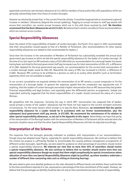appointed commission sets the basic allowance at £13,400 for members of local authorities with populations which are generally substantially lower than those of London boroughs.

However we reluctantly accept that, in the current financial climate, it would be inappropriate to recommend a general increase in members' allowances (beyond the annual updating). Pegging an annual increase to staff pay awards will ensure that councillors can receive annual increases which are in line with those received by staff. **We therefore recommend that the Basic Allowance be set at £11,045.** We believe that it remains sensible to frame recommendations which are common across London

## **Special Responsibility Allowances**

Given the extent of the responsibilities of leaders of London boroughs, the Panel's first report in 2001 recommended that their remuneration should equate to that of a Member of Parliament. [Our recommendations for other special responsibility allowances are related to that recommended for leaders.]

Since then the increase in the remuneration of Members of Parliament has substantially exceeded the annual local government pay increase to which we tied the special responsibility allowance for the leader of a London borough. At the time of our last report an MP received a salary of £67,060 while our recommendation for a borough leader (increases having been restricted to the local government staff pay increases) was for total remuneration of £65,472, a difference of £1,588. Updated for the local government pay awards, our recommendation for the current total remuneration of a London borough leader would be £68,130. Meanwhile the salary of MPs has increased to £76,011, a difference of £7,881. Moreover MPs continue to be entitled to a pension as well as to sundry other benefits (such as termination payments) which are not available to leaders.

In our current consultation we enquired whether the remuneration of an MP remains a sound comparator to fix the remuneration of a borough leader. In general the responses agreed that the comparator was appropriate and, if anything, that the Leaders of London boroughs warranted a higher remuneration than an MP, because they had greater financial responsibility and legal burdens, and especially given the differential pension arrangements. Indeed one respondent authority suggested that the direct responsibilities of a Leader should command the salary of a Junior Minister.

We sympathise with the responses. Certainly the way in which MPs' remuneration has outpaced that of leaders would prompt a review of the Leaders' allowances had the Panel not had regard to the current stringent economic circumstances. For the same reasons which prompt us to peg the Basic Allowance, **we recommend that the special responsibility allowance for a Leader should be in accordance with our former recommendation, plus the subsequent local government staff pay awards, ie £57,085. We recommend the maintenance of its relation to other special responsibility allowances, as set out in the Appendix to this report**. Nevertheless we hope that parity of the remuneration of the Borough leaders with the remuneration of Members of Parliament will be restored when the economic situation eases and that the other Special Responsibility Allowances will then be adjusted accordingly.

# **Interpretation of the Scheme**

The responses from the boroughs generally indicated no problems with interpretation of our recommendations, though many had adopted lower figures, especially for special responsibility allowances. We continue to believe that the scheme we propose is sufficiently flexible to accommodate the varying political management arrangements of different London boroughs. Specifically, we were asked for guidance on what percentage of councillors should receive a special responsibility allowance. **We reiterate our view that no more than 50% of councillors should receive a special responsibility allowance. We also continue to believe that no member should receive more than one special responsibility allowance though we accept that there might exceptionally be special circumstances where allocation of more than one Special Responsibility Allowance might be justified, eg where members undertake a number of different time-consuming roles such as sitting on licensing hearings.** 

We were asked to give more detailed guidance on the roles allocated to different bands and whether these could be tied to the time commitment required of a role, expressed as a percentage of the time commitment of the Leader. However, we believe that the percentages we identify should be tied not only to time commitment but also to levels of responsibility.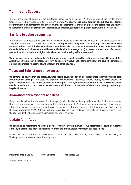# **Training and Support**

The responsibilities of councillors are substantial, extensive and complex. We have mentioned the Grenfell Tower tragedy as a chilling instance of those responsibilities. **We believe that every borough should have an ongoing programme of member training and development and that members should be expected to participate. We believe that members should be provided with logistical and clerical support to help them deal with their workload.**

## **Barriers to being a councillor**

It is important that obstacles to becoming a councillor should be removed wherever possible. Child care costs can be a significant deterrent to service as a councillor. **We repeat our strong view that in appropriate cases when they undertake their council duties, councillors should be entitled to claim an allowance for care of dependents. The dependents' carers' allowance should be set at the London living wage but (on presentation of proof of expense) payment should be made at a higher rate when specialist nursing skills are required.** 

**We also repeat our belief that members' allowances schemes should allow the continuance of Special Responsibility Allowances in the case of sickness, maternity and paternity leave in the same terms that the council's employees enjoy such benefits (that is to say, they follow the same policies).**

## **Travel and Subsistence allowances**

**We continue to believe that the Basic Allowance should cover basic out-of-pocket expenses incurred by councillors, including intra-borough travel costs and expenses. The members' allowances scheme should, however, provide for special circumstances, such as travel after late meetings or travel by councillors with disabilities. The scheme should enable councillors to claim travel expenses when their duties take them out of their home borough, including a bicycle allowance.**

## **Allowances for Mayor or Civic Head**

Many councils include the allowances for the mayor (or civic head) and deputy in their members' allowance scheme. However these allowances do serve a rather different purpose from the 'ordinary' members' allowances, since they are intended to enable the civic heads to perform a ceremonial role. There are separate statutory provisions (ss 3 and 5 of the Local Government Act 1972) for such allowances and councils may find it convenient to use those provisions rather than to include the allowances in the members' allowance scheme.

# **Update for inflation**

**We continue to recommend that for a period of four years the allowances we recommend should be updated annually in accordance with the headline figure in the annual local government pay settlement.** 

We have been asked whether it is necessary for the annual updating to be formally authorised by the council each year. The Regulations do seem to make this obligatory.

Sir Rodney Brooke CBE DL<sub>Steve</sub> Bundred Anne Watts CBE

London, January 2018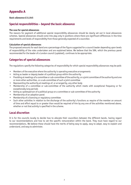# **Appendix A**

#### **Basic allowance £11,045**

## **Special responsibilities – beyond the basic allowance**

#### **The case for special allowances**

The reasons for payment of additional special responsibility allowances should be clearly set out in local allowances schemes. Special allowances should come into play only in positions where there are significant differences in the time requirements and levels of responsibility from those generally expected of a councillor.

#### **Calculation of special allowances**

The proposed amounts for each band are a percentage of the figure suggested for a council leader depending upon levels of responsibility of the roles undertaken and are explained below. We believe that the SRA, which the previous panel recommended for the leader of a London council (updated), continues to be appropriate.

## **Categories of special allowances**

The regulations specify the following categories of responsibility for which special responsibility allowances may be paid:

- Members of the executive where the authority is operating executive arrangements
- Acting as leader or deputy leader of a political group within the authority
- Presiding at meetings of a committee or sub-committee of the authority, or a joint committee of the authority and one or more other authorities, or a sub-committee of such a joint committee
- Representing the authority at meetings of, or arranged by, any other body
- Membership of a committee or sub-committee of the authority which meets with exceptional frequency or for exceptionally long periods
- Acting as spokesperson of a political group on a committee or sub-committee of the authority
- Membership of an adoption panel
- Membership of a licensing or regulatory committee
- Such other activities in relation to the discharge of the authority's functions as require of the member an amount of time and effort equal to or greater than would be required of him by any one of the activities mentioned above, whether or not that activity is specified in the scheme.

## **Local discretion**

It is for the councils locally to decide how to allocate their councillors between the different bands, having regard to our recommendations and how to set the specific remuneration within the band. They must have regard to our recommendations. We believe these should have the merits of being easy to apply, easy to adapt, easy to explain and understand, and easy to administer.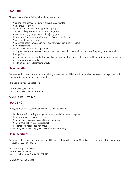## **BAND ONE**

The posts we envisage falling within band one include:

- Vice chair of a service, regulatory or scrutiny committee
- Chair of sub-committee
- Leader of second or smaller opposition group
- Service spokesperson for first opposition group
- Group secretary (or equivalent) of majority group
- First opposition group whip (in respect of council business)
- Vice chair of council business
- Chairs, vice chairs, area committees and forums or community leaders
- Cabinet assistant
- Leadership of a strategic major topic
- Acting as a member of a committee or sub-committee which meets with exceptional frequency or for exceptionally long periods
- Acting as a member of an adoption panel where membership requires attendance with exceptional frequency or for exceptionally long periods
- Leadership of a specific major project.

## **Remuneration**

We propose that band one special responsibility allowances should be on a sliding scale of between 20 – 30 per cent of the remuneration package for a council leader.

This would be made up as follows:

Basic allowance: £11,045 Band One allowance: £2,582 to £9,397

#### **Total: £13,627 to £20,442**

#### **BAND TWO**

The types of office we contemplate being within band two are:

- Lead member in scrutiny arrangements, such as chair of a scrutiny panel
- Representative on key outside body
- Chair of major regulatory committee e.g. planning
- Chair of council business (civic mayor)
- Leader of principal opposition group
- Majority party chief whip (in respect of council business).

## **Remuneration:**

We propose that band two allowances should be on a sliding scale between 40 – 60 per cent, pro rata of the remuneration package for a council leader.

This is made up as follows: Basic allowance £11,045 Band two allowances: £16,207 to £29,797

**Total: £27,252 to £40,842**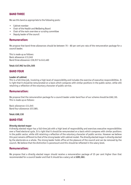## **BAND THREE**

We see this band as appropriate to the following posts:

- Cabinet member
- Chair of the Health and Wellbeing Board
- Chair of the main overview or scrutiny committee
- Deputy leader of the council

#### **Remuneration:**

We propose that band three allowances should be between 70 – 80 per cent pro rata of the remuneration package for a council leader.

This is made up as follows: Basic allowance: £11,045 Band three allowance: £36,917 to £43,460

**Total: £47,962 to £54,505**

## **BAND FOUR**

#### **Leader of cabinet**

This is a full-time job, involving a high level of responsibility and includes the exercise of executive responsibilities. It is right that it should be remunerated on a basis which compares with similar positions in the public sector, while still retaining a reflection of the voluntary character of public service.

#### **Remuneration:**

We propose that the remuneration package for a council leader under band four of our scheme should be £68,130. This is made up as follows:

Basic allowance: £11,045 Band four allowance: £57,085.

#### **Total: £68,130**

## **BAND FIVE**

#### **Directly elected mayor**

A directly elected mayor has a full-time job with a high level of responsibility and exercises executive responsibilities over a fixed electoral cycle. It is right that it should be remunerated on a basis which compares with similar positions in the public sector, while still retaining a reflection of the voluntary character of public service. However we believe this post remains different to that of the strong leader with cabinet model. The directly elected mayor is directly elected by the electorate as a whole. The strong leader holds office at the pleasure of the council and can be removed by the council. We believe that the distinction is paramount and this should be reflected in the salary level.

## **Remuneration:**

We propose that a directly elected mayor should receive a remuneration package of 25 per cent higher than that recommended for a council leader and that it should be a salary set at **£85,162.**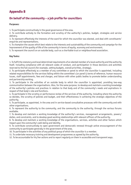# **Appendix B**

## **On behalf of the community – a job profile for councillors**

#### **Purposes:**

1. To participate constructively in the good governance of the area.

2. To contribute actively to the formation and scrutiny of the authority's policies, budget, strategies and service delivery.

3. To represent effectively the interests of the ward for which the councillor was elected, and deal with constituents' enquiries and representations.

4. To champion the causes which best relate to the interests and sustainability of the community and campaign for the improvement of the quality of life of the community in terms of equity, economy and environment.

5. To represent the council on an outside body, such as a charitable trust or neighbourhood association.

#### **Key Tasks:**

1. To fulfil the statutory and local determined requirements of an elected member of a local authority and the authority itself, including compliance with all relevant codes of conduct, and participation in those decisions and activities reserved to the full council (for example, setting budgets, overall priorities, strategy).

2. To participate effectively as a member of any committee or panel to which the councillor is appointed, including related responsibilities for the services falling within the committee's (or panel's) terms of reference, human resource issues, staff appointments, fees and charges, and liaison with other public bodies to promote better understanding and partnership working.

3. To participate in the activities of an outside body to which the councillor is appointed, providing two-way communication between the organisations. Also, for the same purpose, to develop and maintain a working knowledge of the authority's policies and practices in relation to that body and of the community's needs and aspirations in respect of that body's role and functions.

4. To participate in the scrutiny or performance review of the services of the authority, including where the authority so decides, the scrutiny of policies and budget, and their effectiveness in achieving the strategic objectives of the authority.

5. To participate, as appointed, in the area and in service-based consultative processes with the community and with other organisations.

6. To represent the authority to the community, and the community to the authority, through the various forums available.

7. To develop and maintain a working knowledge of the authority's services, management arrangements, powers/ duties, and constraints, and to develop good working relationships with relevant officers of the authority.

8. To develop and maintain a working knowledge of the organisations, services, activities and other factors which impact upon the community's well-being and identity.

9. To contribute constructively to open government and democratic renewal through active encouragement of the community to participate generally in the government of the area.

10. To participate in the activities of any political group of which the councillor is a member.

11. To undertake necessary training and development programmes as agreed by the authority.

12. To be accountable for his/her actions and to report regularly on them in accessible and transparent ways.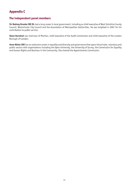# **Appendix C**

## **The independent panel members**

**Sir Rodney Brooke CBE DL** had a long career in local government, including as chief executive of West Yorkshire County Council, Westminster City Council and the Association of Metropolitan Authorities. He was knighted in 2007 for his contribution to public service.

**Steve Bundred** was chairman of Monitor, chief executive of the Audit Commission and chief executive of the London Borough of Camden.

**Anne Watts CBE** has an extensive career in equality and diversity and governance that spans the private, voluntary and public sectors with organisations including the Open University, the University of Surrey, the Commission for Equality and Human Rights and Business in the Community. She chaired the Appointments Commission.